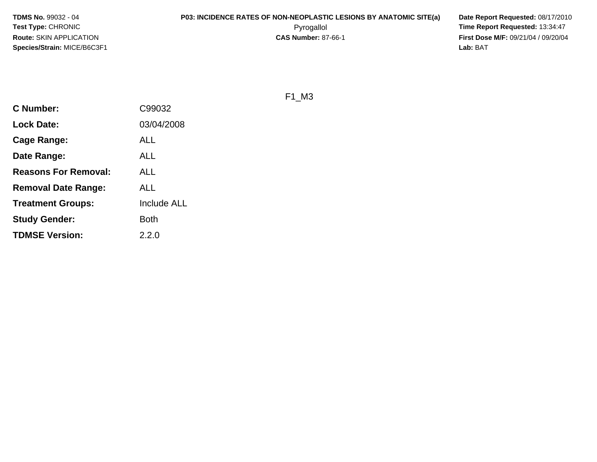**TDMS No.** 99032 - 04**Test Type:** CHRONIC**Route:** SKIN APPLICATION**Species/Strain:** MICE/B6C3F1

# **P03: INCIDENCE RATES OF NON-NEOPLASTIC LESIONS BY ANATOMIC SITE(a) Date Report Requested: 08/17/2010**<br>Pyrogallol **Proport Report Requested: 13:34:47** Pyrogallol **Time Report Requested:** 13:34:47

**First Dose M/F:** 09/21/04 / 09/20/04<br>Lab: BAT **Lab:** BAT

F1\_M3

| <b>C</b> Number:            | C99032             |
|-----------------------------|--------------------|
| <b>Lock Date:</b>           | 03/04/2008         |
| Cage Range:                 | ALL                |
| Date Range:                 | ALL                |
| <b>Reasons For Removal:</b> | ALL                |
| <b>Removal Date Range:</b>  | ALL                |
| <b>Treatment Groups:</b>    | <b>Include ALL</b> |
| <b>Study Gender:</b>        | Both               |
| <b>TDMSE Version:</b>       | 2.2.0              |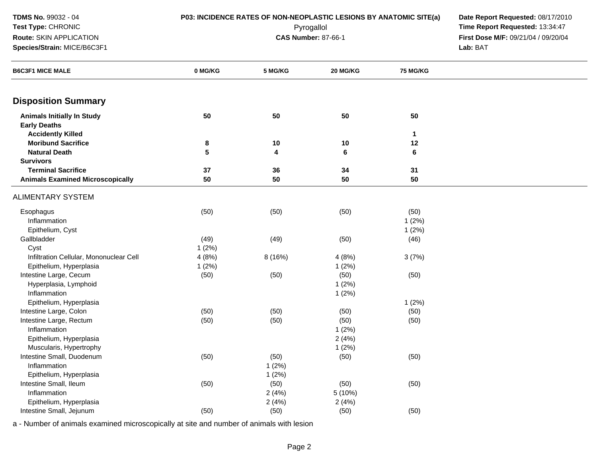| TDMS No. 99032 - 04                                      | P03: INCIDENCE RATES OF NON-NEOPLASTIC LESIONS BY ANATOMIC SITE(a) | Date Report Requested: 08/17/2010   |          |              |          |
|----------------------------------------------------------|--------------------------------------------------------------------|-------------------------------------|----------|--------------|----------|
| Test Type: CHRONIC                                       |                                                                    | Time Report Requested: 13:34:47     |          |              |          |
| Route: SKIN APPLICATION                                  |                                                                    | First Dose M/F: 09/21/04 / 09/20/04 |          |              |          |
| Species/Strain: MICE/B6C3F1                              |                                                                    |                                     |          |              | Lab: BAT |
| <b>B6C3F1 MICE MALE</b>                                  | 0 MG/KG                                                            | 5 MG/KG                             | 20 MG/KG | 75 MG/KG     |          |
| <b>Disposition Summary</b>                               |                                                                    |                                     |          |              |          |
| <b>Animals Initially In Study</b><br><b>Early Deaths</b> | 50                                                                 | 50                                  | 50       | 50           |          |
| <b>Accidently Killed</b>                                 |                                                                    |                                     |          | $\mathbf{1}$ |          |
| <b>Moribund Sacrifice</b>                                | 8                                                                  | 10                                  | 10       | 12           |          |
| <b>Natural Death</b>                                     | 5                                                                  | 4                                   | 6        | 6            |          |
| <b>Survivors</b>                                         |                                                                    |                                     |          |              |          |
| <b>Terminal Sacrifice</b>                                | 37                                                                 | 36                                  | 34       | 31           |          |
| <b>Animals Examined Microscopically</b>                  | 50                                                                 | 50                                  | 50       | 50           |          |
| ALIMENTARY SYSTEM                                        |                                                                    |                                     |          |              |          |
| Esophagus                                                | (50)                                                               | (50)                                | (50)     | (50)         |          |
| Inflammation                                             |                                                                    |                                     |          | 1(2%)        |          |
| Epithelium, Cyst                                         |                                                                    |                                     |          | 1(2%)        |          |
| Gallbladder                                              | (49)                                                               | (49)                                | (50)     | (46)         |          |
| Cyst                                                     | 1(2%)                                                              |                                     |          |              |          |
| Infiltration Cellular, Mononuclear Cell                  | 4(8%)                                                              | 8 (16%)                             | 4(8%)    | 3(7%)        |          |
| Epithelium, Hyperplasia                                  | 1(2%)                                                              |                                     | 1(2%)    |              |          |
| Intestine Large, Cecum                                   | (50)                                                               | (50)                                | (50)     | (50)         |          |
| Hyperplasia, Lymphoid                                    |                                                                    |                                     | 1(2%)    |              |          |
| Inflammation                                             |                                                                    |                                     | 1(2%)    |              |          |
| Epithelium, Hyperplasia                                  |                                                                    |                                     |          | 1(2%)        |          |
| Intestine Large, Colon                                   | (50)                                                               | (50)                                | (50)     | (50)         |          |
| Intestine Large, Rectum                                  | (50)                                                               | (50)                                | (50)     | (50)         |          |
| Inflammation                                             |                                                                    |                                     | 1(2%)    |              |          |
| Epithelium, Hyperplasia                                  |                                                                    |                                     | 2(4%)    |              |          |
| Muscularis, Hypertrophy                                  |                                                                    |                                     | 1(2%)    |              |          |
| Intestine Small, Duodenum                                | (50)                                                               | (50)                                | (50)     | (50)         |          |
| Inflammation                                             |                                                                    | 1(2%)                               |          |              |          |
| Epithelium, Hyperplasia                                  |                                                                    | 1(2%)                               |          |              |          |
| Intestine Small, Ileum                                   | (50)                                                               | (50)                                | (50)     | (50)         |          |
| Inflammation                                             |                                                                    | 2(4%)                               | 5 (10%)  |              |          |
| Epithelium, Hyperplasia                                  |                                                                    | 2(4%)                               | 2(4%)    |              |          |
| Intestine Small, Jejunum                                 | (50)                                                               | (50)                                | (50)     | (50)         |          |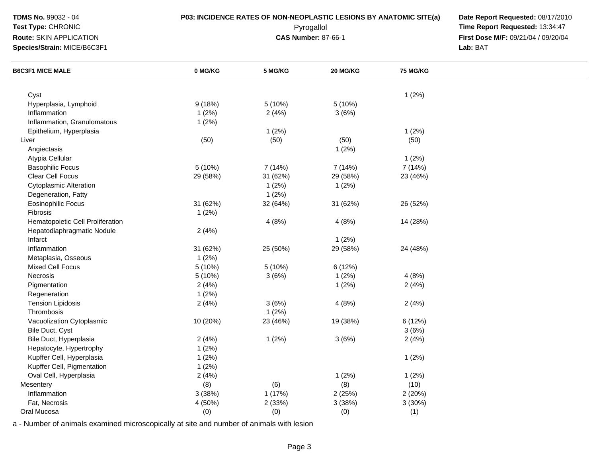| TDMS No. 99032 - 04              | P03: INCIDENCE RATES OF NON-NEOPLASTIC LESIONS BY ANATOMIC SITE(a) | Date Report Requested: 08/17/2010   |          |                 |          |
|----------------------------------|--------------------------------------------------------------------|-------------------------------------|----------|-----------------|----------|
| Test Type: CHRONIC               |                                                                    | Time Report Requested: 13:34:47     |          |                 |          |
| Route: SKIN APPLICATION          |                                                                    | First Dose M/F: 09/21/04 / 09/20/04 |          |                 |          |
| Species/Strain: MICE/B6C3F1      |                                                                    |                                     |          |                 | Lab: BAT |
| <b>B6C3F1 MICE MALE</b>          | 0 MG/KG                                                            | 5 MG/KG                             | 20 MG/KG | <b>75 MG/KG</b> |          |
| Cyst                             |                                                                    |                                     |          | 1(2%)           |          |
| Hyperplasia, Lymphoid            | 9(18%)                                                             | 5(10%)                              | 5 (10%)  |                 |          |
| Inflammation                     | 1(2%)                                                              | 2(4%)                               | 3(6%)    |                 |          |
| Inflammation, Granulomatous      | 1(2%)                                                              |                                     |          |                 |          |
| Epithelium, Hyperplasia          |                                                                    | 1(2%)                               |          | 1(2%)           |          |
| Liver                            | (50)                                                               | (50)                                | (50)     | (50)            |          |
| Angiectasis                      |                                                                    |                                     | 1(2%)    |                 |          |
| Atypia Cellular                  |                                                                    |                                     |          | 1(2%)           |          |
| <b>Basophilic Focus</b>          | 5(10%)                                                             | 7 (14%)                             | 7 (14%)  | 7 (14%)         |          |
| <b>Clear Cell Focus</b>          | 29 (58%)                                                           | 31 (62%)                            | 29 (58%) | 23 (46%)        |          |
| <b>Cytoplasmic Alteration</b>    |                                                                    | 1(2%)                               | 1(2%)    |                 |          |
| Degeneration, Fatty              |                                                                    | 1(2%)                               |          |                 |          |
| <b>Eosinophilic Focus</b>        | 31 (62%)                                                           | 32 (64%)                            | 31 (62%) | 26 (52%)        |          |
| Fibrosis                         | 1(2%)                                                              |                                     |          |                 |          |
| Hematopoietic Cell Proliferation |                                                                    | 4(8%)                               | 4(8%)    | 14 (28%)        |          |
| Hepatodiaphragmatic Nodule       | 2(4%)                                                              |                                     |          |                 |          |
| Infarct                          |                                                                    |                                     | 1(2%)    |                 |          |
| Inflammation                     | 31 (62%)                                                           | 25 (50%)                            | 29 (58%) | 24 (48%)        |          |
| Metaplasia, Osseous              | 1(2%)                                                              |                                     |          |                 |          |
| <b>Mixed Cell Focus</b>          | 5 (10%)                                                            | 5 (10%)                             | 6 (12%)  |                 |          |
| Necrosis                         | 5 (10%)                                                            |                                     | 1(2%)    | 4(8%)           |          |
| Pigmentation                     | 2(4%)                                                              | 3(6%)                               | 1(2%)    | 2(4%)           |          |
|                                  |                                                                    |                                     |          |                 |          |
| Regeneration                     | 1(2%)                                                              |                                     |          |                 |          |
| <b>Tension Lipidosis</b>         | 2(4%)                                                              | 3(6%)                               | 4(8%)    | 2(4%)           |          |
| Thrombosis                       |                                                                    | 1(2%)                               |          |                 |          |
| Vacuolization Cytoplasmic        | 10 (20%)                                                           | 23 (46%)                            | 19 (38%) | 6 (12%)         |          |
| Bile Duct, Cyst                  |                                                                    |                                     |          | 3(6%)           |          |
| Bile Duct, Hyperplasia           | 2(4%)                                                              | 1(2%)                               | 3(6%)    | 2(4%)           |          |
| Hepatocyte, Hypertrophy          | 1(2%)                                                              |                                     |          |                 |          |
| Kupffer Cell, Hyperplasia        | 1(2%)                                                              |                                     |          | 1(2%)           |          |
| Kupffer Cell, Pigmentation       | 1(2%)                                                              |                                     |          |                 |          |
| Oval Cell, Hyperplasia           | 2(4%)                                                              |                                     | 1(2%)    | 1(2%)           |          |
| Mesentery                        | (8)                                                                | (6)                                 | (8)      | (10)            |          |
| Inflammation                     | 3(38%)                                                             | 1(17%)                              | 2(25%)   | 2 (20%)         |          |
| Fat, Necrosis                    | 4 (50%)                                                            | 2 (33%)                             | 3(38%)   | 3(30%)          |          |
| Oral Mucosa                      | (0)                                                                | (0)                                 | (0)      | (1)             |          |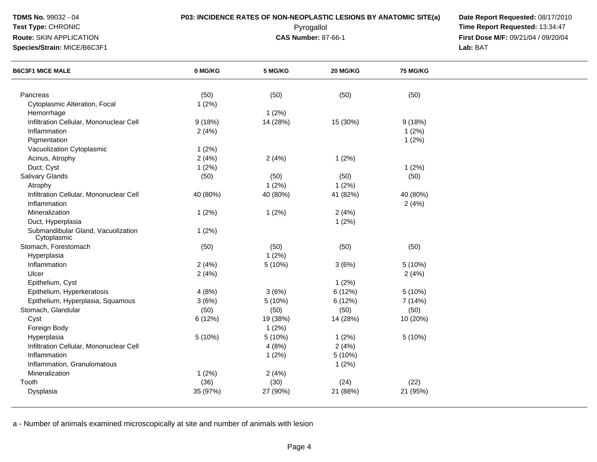**Test Type:** CHRONIC

**Route:** SKIN APPLICATION

**Species/Strain:** MICE/B6C3F1

**P03: INCIDENCE RATES OF NON-NEOPLASTIC LESIONS BY ANATOMIC SITE(a) Date Report Requested: 08/17/2010**<br>Pyrogallol **Proport Report Requested: 13:34:47**  Pyrogallol **Time Report Requested:** 13:34:47 **First Dose M/F:** 09/21/04 / 09/20/04<br>Lab: BAT **Lab:** BAT

| <b>B6C3F1 MICE MALE</b>                           | 0 MG/KG  | 5 MG/KG  | 20 MG/KG | 75 MG/KG |  |
|---------------------------------------------------|----------|----------|----------|----------|--|
|                                                   |          |          |          |          |  |
| Pancreas                                          | (50)     | (50)     | (50)     | (50)     |  |
| Cytoplasmic Alteration, Focal                     | 1(2%)    |          |          |          |  |
| Hemorrhage                                        |          | 1(2%)    |          |          |  |
| Infiltration Cellular, Mononuclear Cell           | 9(18%)   | 14 (28%) | 15 (30%) | 9(18%)   |  |
| Inflammation                                      | 2(4%)    |          |          | 1(2%)    |  |
| Pigmentation                                      |          |          |          | 1(2%)    |  |
| Vacuolization Cytoplasmic                         | 1(2%)    |          |          |          |  |
| Acinus, Atrophy                                   | 2(4%)    | 2(4%)    | 1(2%)    |          |  |
| Duct, Cyst                                        | 1(2%)    |          |          | 1(2%)    |  |
| Salivary Glands                                   | (50)     | (50)     | (50)     | (50)     |  |
| Atrophy                                           |          | 1(2%)    | 1(2%)    |          |  |
| Infiltration Cellular, Mononuclear Cell           | 40 (80%) | 40 (80%) | 41 (82%) | 40 (80%) |  |
| Inflammation                                      |          |          |          | 2(4%)    |  |
| Mineralization                                    | 1(2%)    | 1(2%)    | 2(4%)    |          |  |
| Duct, Hyperplasia                                 |          |          | 1(2%)    |          |  |
| Submandibular Gland, Vacuolization<br>Cytoplasmic | 1(2%)    |          |          |          |  |
| Stomach, Forestomach                              | (50)     | (50)     | (50)     | (50)     |  |
| Hyperplasia                                       |          | $1(2\%)$ |          |          |  |
| Inflammation                                      | 2(4%)    | 5 (10%)  | 3(6%)    | 5(10%)   |  |
| Ulcer                                             | 2(4%)    |          |          | 2(4%)    |  |
| Epithelium, Cyst                                  |          |          | 1(2%)    |          |  |
| Epithelium, Hyperkeratosis                        | 4(8%)    | 3(6%)    | 6(12%)   | 5(10%)   |  |
| Epithelium, Hyperplasia, Squamous                 | 3(6%)    | 5 (10%)  | 6(12%)   | 7 (14%)  |  |
| Stomach, Glandular                                | (50)     | (50)     | (50)     | (50)     |  |
| Cyst                                              | 6 (12%)  | 19 (38%) | 14 (28%) | 10 (20%) |  |
| Foreign Body                                      |          | 1(2%)    |          |          |  |
| Hyperplasia                                       | 5 (10%)  | 5 (10%)  | 1(2%)    | 5(10%)   |  |
| Infiltration Cellular, Mononuclear Cell           |          | 4(8%)    | 2(4%)    |          |  |
| Inflammation                                      |          | 1(2%)    | 5(10%)   |          |  |
| Inflammation, Granulomatous                       |          |          | 1(2%)    |          |  |
| Mineralization                                    | 1(2%)    | 2(4%)    |          |          |  |
| Tooth                                             | (36)     | (30)     | (24)     | (22)     |  |
|                                                   | 35 (97%) | 27 (90%) | 21 (88%) | 21 (95%) |  |
| Dysplasia                                         |          |          |          |          |  |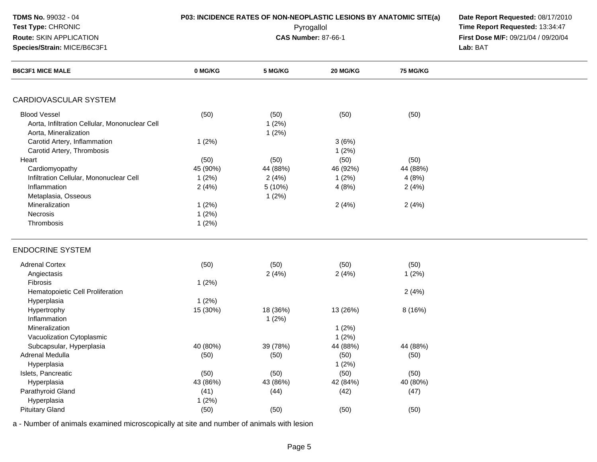| TDMS No. 99032 - 04<br>Test Type: CHRONIC<br>Route: SKIN APPLICATION<br>Species/Strain: MICE/B6C3F1 |          | P03: INCIDENCE RATES OF NON-NEOPLASTIC LESIONS BY ANATOMIC SITE(a)<br>Pyrogallol<br><b>CAS Number: 87-66-1</b> | Date Report Requested: 08/17/2010<br>Time Report Requested: 13:34:47<br>First Dose M/F: 09/21/04 / 09/20/04<br>Lab: BAT |                 |  |
|-----------------------------------------------------------------------------------------------------|----------|----------------------------------------------------------------------------------------------------------------|-------------------------------------------------------------------------------------------------------------------------|-----------------|--|
| <b>B6C3F1 MICE MALE</b>                                                                             | 0 MG/KG  | 5 MG/KG                                                                                                        | 20 MG/KG                                                                                                                | <b>75 MG/KG</b> |  |
| CARDIOVASCULAR SYSTEM                                                                               |          |                                                                                                                |                                                                                                                         |                 |  |
| <b>Blood Vessel</b><br>Aorta, Infiltration Cellular, Mononuclear Cell<br>Aorta, Mineralization      | (50)     | (50)<br>1(2%)<br>1(2%)                                                                                         | (50)                                                                                                                    | (50)            |  |
| Carotid Artery, Inflammation<br>Carotid Artery, Thrombosis                                          | 1(2%)    |                                                                                                                | 3(6%)<br>1(2%)                                                                                                          |                 |  |
| Heart                                                                                               | (50)     | (50)                                                                                                           | (50)                                                                                                                    | (50)            |  |
| Cardiomyopathy                                                                                      | 45 (90%) | 44 (88%)                                                                                                       | 46 (92%)                                                                                                                | 44 (88%)        |  |
| Infiltration Cellular, Mononuclear Cell                                                             | 1(2%)    | 2(4%)                                                                                                          | 1(2%)                                                                                                                   | 4(8%)           |  |
| Inflammation                                                                                        | 2(4%)    | 5 (10%)                                                                                                        | 4(8%)                                                                                                                   | 2(4%)           |  |
| Metaplasia, Osseous                                                                                 |          | 1(2%)                                                                                                          |                                                                                                                         |                 |  |
| Mineralization                                                                                      | 1(2%)    |                                                                                                                | 2(4%)                                                                                                                   | 2(4%)           |  |
| Necrosis                                                                                            | 1(2%)    |                                                                                                                |                                                                                                                         |                 |  |
| Thrombosis                                                                                          | 1(2%)    |                                                                                                                |                                                                                                                         |                 |  |
| <b>ENDOCRINE SYSTEM</b>                                                                             |          |                                                                                                                |                                                                                                                         |                 |  |
| <b>Adrenal Cortex</b>                                                                               | (50)     | (50)                                                                                                           | (50)                                                                                                                    | (50)            |  |
| Angiectasis                                                                                         |          | 2(4%)                                                                                                          | 2(4%)                                                                                                                   | 1(2%)           |  |
| Fibrosis                                                                                            | 1(2%)    |                                                                                                                |                                                                                                                         |                 |  |
| Hematopoietic Cell Proliferation                                                                    |          |                                                                                                                |                                                                                                                         | 2(4%)           |  |
| Hyperplasia                                                                                         | 1(2%)    |                                                                                                                |                                                                                                                         |                 |  |
| Hypertrophy                                                                                         | 15 (30%) | 18 (36%)                                                                                                       | 13 (26%)                                                                                                                | 8 (16%)         |  |
| Inflammation                                                                                        |          | 1(2%)                                                                                                          |                                                                                                                         |                 |  |
| Mineralization                                                                                      |          |                                                                                                                | 1(2%)                                                                                                                   |                 |  |
| Vacuolization Cytoplasmic                                                                           |          |                                                                                                                | 1(2%)                                                                                                                   |                 |  |
| Subcapsular, Hyperplasia                                                                            | 40 (80%) | 39 (78%)                                                                                                       | 44 (88%)                                                                                                                | 44 (88%)        |  |
| Adrenal Medulla                                                                                     | (50)     | (50)                                                                                                           | (50)                                                                                                                    | (50)            |  |
| Hyperplasia                                                                                         |          |                                                                                                                | 1(2%)                                                                                                                   |                 |  |
| Islets, Pancreatic                                                                                  | (50)     | (50)                                                                                                           | (50)                                                                                                                    | (50)            |  |
| Hyperplasia                                                                                         | 43 (86%) | 43 (86%)                                                                                                       | 42 (84%)                                                                                                                | 40 (80%)        |  |
| Parathyroid Gland                                                                                   | (41)     | (44)                                                                                                           | (42)                                                                                                                    | (47)            |  |
| Hyperplasia                                                                                         | 1(2%)    |                                                                                                                |                                                                                                                         |                 |  |
| <b>Pituitary Gland</b>                                                                              | (50)     | (50)                                                                                                           | (50)                                                                                                                    | (50)            |  |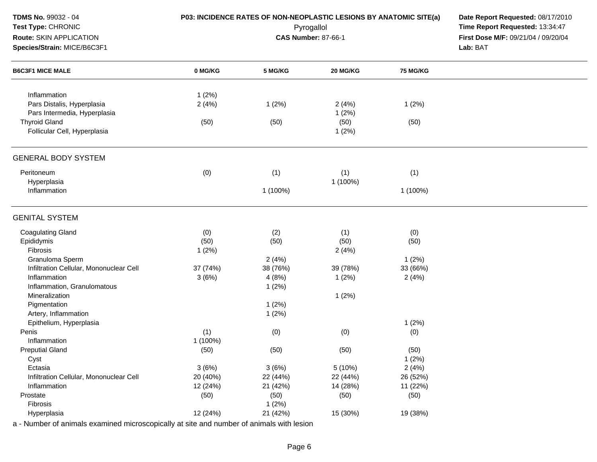| TDMS No. 99032 - 04                     | P03: INCIDENCE RATES OF NON-NEOPLASTIC LESIONS BY ANATOMIC SITE(a) | Date Report Requested: 08/17/2010 |            |                 |                                     |
|-----------------------------------------|--------------------------------------------------------------------|-----------------------------------|------------|-----------------|-------------------------------------|
| Test Type: CHRONIC                      |                                                                    |                                   | Pyrogallol |                 | Time Report Requested: 13:34:47     |
| Route: SKIN APPLICATION                 |                                                                    | <b>CAS Number: 87-66-1</b>        |            |                 | First Dose M/F: 09/21/04 / 09/20/04 |
| Species/Strain: MICE/B6C3F1             |                                                                    |                                   |            |                 | Lab: BAT                            |
| <b>B6C3F1 MICE MALE</b>                 | 0 MG/KG                                                            | 5 MG/KG                           | 20 MG/KG   | <b>75 MG/KG</b> |                                     |
| Inflammation                            | 1(2%)                                                              |                                   |            |                 |                                     |
| Pars Distalis, Hyperplasia              | 2(4%)                                                              | 1(2%)                             | 2(4%)      | 1(2%)           |                                     |
| Pars Intermedia, Hyperplasia            |                                                                    |                                   | 1(2%)      |                 |                                     |
| <b>Thyroid Gland</b>                    | (50)                                                               | (50)                              | (50)       | (50)            |                                     |
| Follicular Cell, Hyperplasia            |                                                                    |                                   | 1(2%)      |                 |                                     |
| <b>GENERAL BODY SYSTEM</b>              |                                                                    |                                   |            |                 |                                     |
| Peritoneum                              | (0)                                                                | (1)                               | (1)        | (1)             |                                     |
| Hyperplasia                             |                                                                    |                                   | 1 (100%)   |                 |                                     |
| Inflammation                            |                                                                    | 1 (100%)                          |            | 1 (100%)        |                                     |
| <b>GENITAL SYSTEM</b>                   |                                                                    |                                   |            |                 |                                     |
| <b>Coagulating Gland</b>                | (0)                                                                | (2)                               | (1)        | (0)             |                                     |
| Epididymis                              | (50)                                                               | (50)                              | (50)       | (50)            |                                     |
| Fibrosis                                | 1(2%)                                                              |                                   | 2(4%)      |                 |                                     |
| Granuloma Sperm                         |                                                                    | 2(4%)                             |            | 1(2%)           |                                     |
| Infiltration Cellular, Mononuclear Cell | 37 (74%)                                                           | 38 (76%)                          | 39 (78%)   | 33 (66%)        |                                     |
| Inflammation                            | 3(6%)                                                              | 4(8%)                             | 1(2%)      | 2(4%)           |                                     |
| Inflammation, Granulomatous             |                                                                    | 1(2%)                             |            |                 |                                     |
| Mineralization                          |                                                                    |                                   | 1(2%)      |                 |                                     |
| Pigmentation                            |                                                                    | 1(2%)                             |            |                 |                                     |
| Artery, Inflammation                    |                                                                    | 1(2%)                             |            |                 |                                     |
| Epithelium, Hyperplasia                 |                                                                    |                                   |            | 1(2%)           |                                     |
| Penis                                   | (1)                                                                | (0)                               | (0)        | (0)             |                                     |
| Inflammation                            | 1 (100%)                                                           |                                   |            |                 |                                     |
| <b>Preputial Gland</b>                  | (50)                                                               | (50)                              | (50)       | (50)            |                                     |
| Cyst                                    |                                                                    |                                   |            | 1(2%)           |                                     |
| Ectasia                                 | 3(6%)                                                              | 3(6%)                             | 5(10%)     | 2(4%)           |                                     |
| Infiltration Cellular, Mononuclear Cell | 20 (40%)                                                           | 22 (44%)                          | 22 (44%)   | 26 (52%)        |                                     |
| Inflammation                            | 12 (24%)                                                           | 21 (42%)                          | 14 (28%)   | 11 (22%)        |                                     |
| Prostate                                | (50)                                                               | (50)                              | (50)       | (50)            |                                     |
| Fibrosis                                |                                                                    | 1(2%)                             |            |                 |                                     |
| Hyperplasia                             | 12 (24%)                                                           | 21 (42%)                          | 15 (30%)   | 19 (38%)        |                                     |

Page 6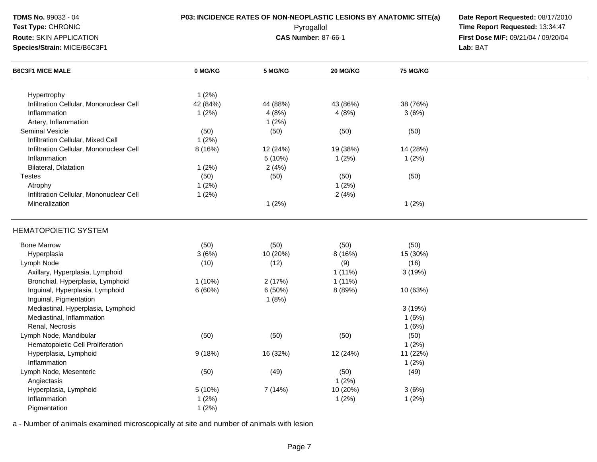| TDMS No. 99032 - 04<br>Test Type: CHRONIC<br>Route: SKIN APPLICATION<br>Species/Strain: MICE/B6C3F1 | P03: INCIDENCE RATES OF NON-NEOPLASTIC LESIONS BY ANATOMIC SITE(a) | Date Report Requested: 08/17/2010<br>Time Report Requested: 13:34:47<br>First Dose M/F: 09/21/04 / 09/20/04<br>Lab: BAT |           |                 |  |
|-----------------------------------------------------------------------------------------------------|--------------------------------------------------------------------|-------------------------------------------------------------------------------------------------------------------------|-----------|-----------------|--|
| <b>B6C3F1 MICE MALE</b>                                                                             | 0 MG/KG                                                            | 5 MG/KG                                                                                                                 | 20 MG/KG  | <b>75 MG/KG</b> |  |
| Hypertrophy                                                                                         | 1(2%)                                                              |                                                                                                                         |           |                 |  |
| Infiltration Cellular, Mononuclear Cell                                                             | 42 (84%)                                                           | 44 (88%)                                                                                                                | 43 (86%)  | 38 (76%)        |  |
| Inflammation                                                                                        | 1(2%)                                                              | 4(8%)                                                                                                                   | 4(8%)     | 3(6%)           |  |
| Artery, Inflammation                                                                                |                                                                    | 1(2%)                                                                                                                   |           |                 |  |
| <b>Seminal Vesicle</b>                                                                              | (50)                                                               | (50)                                                                                                                    | (50)      | (50)            |  |
| Infiltration Cellular, Mixed Cell                                                                   | 1(2%)                                                              |                                                                                                                         |           |                 |  |
| Infiltration Cellular, Mononuclear Cell                                                             | 8 (16%)                                                            | 12 (24%)                                                                                                                | 19 (38%)  | 14 (28%)        |  |
| Inflammation                                                                                        |                                                                    | 5 (10%)                                                                                                                 | 1(2%)     | 1(2%)           |  |
| Bilateral, Dilatation                                                                               | 1(2%)                                                              | 2(4%)                                                                                                                   |           |                 |  |
| <b>Testes</b>                                                                                       | (50)                                                               | (50)                                                                                                                    | (50)      | (50)            |  |
| Atrophy                                                                                             | 1(2%)                                                              |                                                                                                                         | 1(2%)     |                 |  |
| Infiltration Cellular, Mononuclear Cell                                                             | 1(2%)                                                              |                                                                                                                         | 2(4%)     |                 |  |
| Mineralization                                                                                      |                                                                    | 1(2%)                                                                                                                   |           | 1(2%)           |  |
| <b>HEMATOPOIETIC SYSTEM</b>                                                                         |                                                                    |                                                                                                                         |           |                 |  |
| <b>Bone Marrow</b>                                                                                  | (50)                                                               | (50)                                                                                                                    | (50)      | (50)            |  |
| Hyperplasia                                                                                         | 3(6%)                                                              | 10 (20%)                                                                                                                | 8(16%)    | 15 (30%)        |  |
| Lymph Node                                                                                          | (10)                                                               | (12)                                                                                                                    | (9)       | (16)            |  |
| Axillary, Hyperplasia, Lymphoid                                                                     |                                                                    |                                                                                                                         | $1(11\%)$ | 3(19%)          |  |
| Bronchial, Hyperplasia, Lymphoid                                                                    | $1(10\%)$                                                          | 2(17%)                                                                                                                  | 1(11%)    |                 |  |
| Inguinal, Hyperplasia, Lymphoid                                                                     | 6(60%)                                                             | 6(50%)                                                                                                                  | 8 (89%)   | 10 (63%)        |  |
| Inguinal, Pigmentation                                                                              |                                                                    | 1(8%)                                                                                                                   |           |                 |  |
| Mediastinal, Hyperplasia, Lymphoid                                                                  |                                                                    |                                                                                                                         |           | 3(19%)          |  |
| Mediastinal, Inflammation                                                                           |                                                                    |                                                                                                                         |           | 1(6%)           |  |
| Renal, Necrosis                                                                                     |                                                                    |                                                                                                                         |           | 1(6%)           |  |
| Lymph Node, Mandibular                                                                              | (50)                                                               | (50)                                                                                                                    | (50)      | (50)            |  |
| Hematopoietic Cell Proliferation                                                                    |                                                                    |                                                                                                                         |           | 1(2%)           |  |
| Hyperplasia, Lymphoid                                                                               | 9(18%)                                                             | 16 (32%)                                                                                                                | 12 (24%)  | 11 (22%)        |  |
| Inflammation                                                                                        |                                                                    |                                                                                                                         |           | 1(2%)           |  |
| Lymph Node, Mesenteric                                                                              | (50)                                                               | (49)                                                                                                                    | (50)      | (49)            |  |
| Angiectasis                                                                                         |                                                                    |                                                                                                                         | 1(2%)     |                 |  |
| Hyperplasia, Lymphoid                                                                               | 5 (10%)                                                            | 7 (14%)                                                                                                                 | 10 (20%)  | 3(6%)           |  |
| Inflammation                                                                                        | 1(2%)                                                              |                                                                                                                         | 1(2%)     | 1(2%)           |  |
| Pigmentation                                                                                        | 1(2%)                                                              |                                                                                                                         |           |                 |  |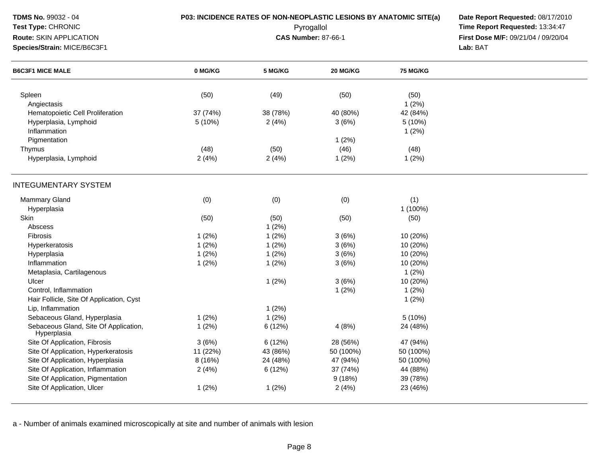| <b>TDMS No. 99032 - 04</b><br><b>Test Type: CHRONIC</b><br>Route: SKIN APPLICATION<br>Species/Strain: MICE/B6C3F1 | <b>P03: INCIDENCE RATES OF NON-NEOPLASTIC LESIONS BY ANATOMIC SITE(a)</b> | Date Report Requested: 08/17/2010<br>Time Report Requested: 13:34:47<br>First Dose M/F: 09/21/04 / 09/20/04<br>Lab: BAT |           |                 |  |
|-------------------------------------------------------------------------------------------------------------------|---------------------------------------------------------------------------|-------------------------------------------------------------------------------------------------------------------------|-----------|-----------------|--|
| <b>B6C3F1 MICE MALE</b>                                                                                           | 0 MG/KG                                                                   | 5 MG/KG                                                                                                                 | 20 MG/KG  | <b>75 MG/KG</b> |  |
| Spleen                                                                                                            | (50)                                                                      | (49)                                                                                                                    | (50)      | (50)            |  |
| Angiectasis                                                                                                       |                                                                           |                                                                                                                         |           | 1(2%)           |  |
| Hematopoietic Cell Proliferation                                                                                  | 37 (74%)                                                                  | 38 (78%)                                                                                                                | 40 (80%)  | 42 (84%)        |  |
| Hyperplasia, Lymphoid<br>Inflammation                                                                             | 5 (10%)                                                                   | 2(4%)                                                                                                                   | 3(6%)     | 5(10%)<br>1(2%) |  |
| Pigmentation                                                                                                      |                                                                           |                                                                                                                         | 1(2%)     |                 |  |
| Thymus                                                                                                            | (48)                                                                      | (50)                                                                                                                    | (46)      | (48)            |  |
| Hyperplasia, Lymphoid                                                                                             | 2(4%)                                                                     | 2(4%)                                                                                                                   | 1(2%)     | 1(2%)           |  |
| <b>INTEGUMENTARY SYSTEM</b>                                                                                       |                                                                           |                                                                                                                         |           |                 |  |
| <b>Mammary Gland</b>                                                                                              | (0)                                                                       | (0)                                                                                                                     | (0)       | (1)             |  |
| Hyperplasia                                                                                                       |                                                                           |                                                                                                                         |           | 1 (100%)        |  |
| Skin                                                                                                              | (50)                                                                      | (50)                                                                                                                    | (50)      | (50)            |  |
| Abscess                                                                                                           |                                                                           | 1(2%)                                                                                                                   |           |                 |  |
| <b>Fibrosis</b>                                                                                                   | 1(2%)                                                                     | 1(2%)                                                                                                                   | 3(6%)     | 10 (20%)        |  |
| Hyperkeratosis                                                                                                    | 1(2%)                                                                     | 1(2%)                                                                                                                   | 3(6%)     | 10 (20%)        |  |
| Hyperplasia                                                                                                       | 1(2%)                                                                     | 1(2%)                                                                                                                   | 3(6%)     | 10 (20%)        |  |
| Inflammation                                                                                                      | 1(2%)                                                                     | 1(2%)                                                                                                                   | 3(6%)     | 10 (20%)        |  |
| Metaplasia, Cartilagenous                                                                                         |                                                                           |                                                                                                                         |           | $1(2\%)$        |  |
| Ulcer                                                                                                             |                                                                           | 1(2%)                                                                                                                   | 3(6%)     | 10 (20%)        |  |
| Control, Inflammation                                                                                             |                                                                           |                                                                                                                         | 1(2%)     | 1(2%)           |  |
| Hair Follicle, Site Of Application, Cyst                                                                          |                                                                           |                                                                                                                         |           | 1(2%)           |  |
| Lip, Inflammation                                                                                                 |                                                                           | 1(2%)                                                                                                                   |           |                 |  |
| Sebaceous Gland, Hyperplasia                                                                                      | 1(2%)                                                                     | 1(2%)                                                                                                                   |           | 5(10%)          |  |
| Sebaceous Gland, Site Of Application,<br>Hyperplasia                                                              | 1(2%)                                                                     | 6 (12%)                                                                                                                 | 4(8%)     | 24 (48%)        |  |
| Site Of Application, Fibrosis                                                                                     | 3(6%)                                                                     | 6(12%)                                                                                                                  | 28 (56%)  | 47 (94%)        |  |
| Site Of Application, Hyperkeratosis                                                                               | 11 (22%)                                                                  | 43 (86%)                                                                                                                | 50 (100%) | 50 (100%)       |  |
| Site Of Application, Hyperplasia                                                                                  | 8(16%)                                                                    | 24 (48%)                                                                                                                | 47 (94%)  | 50 (100%)       |  |
| Site Of Application, Inflammation                                                                                 | 2(4%)                                                                     | 6(12%)                                                                                                                  | 37 (74%)  | 44 (88%)        |  |
| Site Of Application, Pigmentation                                                                                 |                                                                           |                                                                                                                         | 9(18%)    | 39 (78%)        |  |
| Site Of Application, Ulcer                                                                                        | 1(2%)                                                                     | 1(2%)                                                                                                                   | 2(4%)     | 23 (46%)        |  |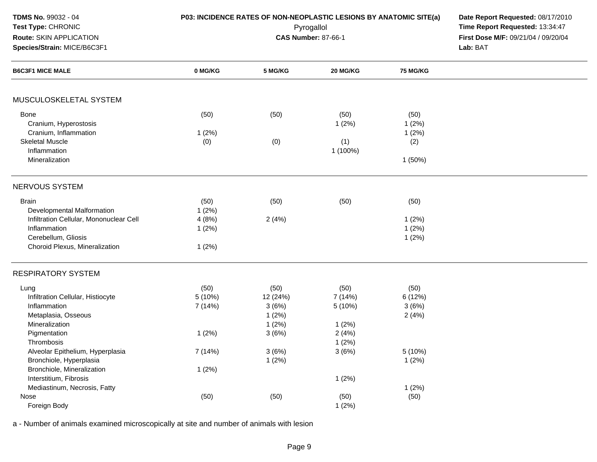| TDMS No. 99032 - 04<br>Test Type: CHRONIC                                                          | P03: INCIDENCE RATES OF NON-NEOPLASTIC LESIONS BY ANATOMIC SITE(a) | Date Report Requested: 08/17/2010<br>Time Report Requested: 13:34:47 |                                     |                                   |          |
|----------------------------------------------------------------------------------------------------|--------------------------------------------------------------------|----------------------------------------------------------------------|-------------------------------------|-----------------------------------|----------|
| Route: SKIN APPLICATION                                                                            |                                                                    | Pyrogallol<br><b>CAS Number: 87-66-1</b>                             | First Dose M/F: 09/21/04 / 09/20/04 |                                   |          |
| Species/Strain: MICE/B6C3F1                                                                        |                                                                    |                                                                      |                                     |                                   | Lab: BAT |
| <b>B6C3F1 MICE MALE</b>                                                                            | 0 MG/KG                                                            | 5 MG/KG                                                              | 20 MG/KG                            | <b>75 MG/KG</b>                   |          |
| MUSCULOSKELETAL SYSTEM                                                                             |                                                                    |                                                                      |                                     |                                   |          |
| Bone<br>Cranium, Hyperostosis<br>Cranium, Inflammation                                             | (50)<br>1(2%)                                                      | (50)                                                                 | (50)<br>1(2%)                       | (50)<br>1(2%)<br>1(2%)            |          |
| <b>Skeletal Muscle</b><br>Inflammation<br>Mineralization                                           | (0)                                                                | (0)                                                                  | (1)<br>1 (100%)                     | (2)<br>1 (50%)                    |          |
| NERVOUS SYSTEM                                                                                     |                                                                    |                                                                      |                                     |                                   |          |
| <b>Brain</b><br>Developmental Malformation                                                         | (50)<br>1(2%)                                                      | (50)                                                                 | (50)                                | (50)                              |          |
| Infiltration Cellular, Mononuclear Cell<br>Inflammation<br>Cerebellum, Gliosis                     | 4(8%)<br>1(2%)                                                     | 2(4%)                                                                |                                     | 1(2%)<br>1(2%)<br>1(2%)           |          |
| Choroid Plexus, Mineralization                                                                     | 1(2%)                                                              |                                                                      |                                     |                                   |          |
| <b>RESPIRATORY SYSTEM</b>                                                                          |                                                                    |                                                                      |                                     |                                   |          |
| Lung<br>Infiltration Cellular, Histiocyte<br>Inflammation<br>Metaplasia, Osseous<br>Mineralization | (50)<br>5(10%)<br>7 (14%)                                          | (50)<br>12 (24%)<br>3(6%)<br>1(2%)<br>1(2%)                          | (50)<br>7 (14%)<br>5 (10%)<br>1(2%) | (50)<br>6 (12%)<br>3(6%)<br>2(4%) |          |
| Pigmentation<br>Thrombosis                                                                         | 1(2%)                                                              | 3(6%)                                                                | 2(4%)<br>1(2%)                      |                                   |          |
| Alveolar Epithelium, Hyperplasia<br>Bronchiole, Hyperplasia<br>Bronchiole, Mineralization          | 7 (14%)<br>1(2%)                                                   | 3(6%)<br>1(2%)                                                       | 3(6%)                               | 5 (10%)<br>1(2%)                  |          |
| Interstitium, Fibrosis<br>Mediastinum, Necrosis, Fatty                                             |                                                                    |                                                                      | 1(2%)                               | 1(2%)                             |          |
| Nose<br>Foreign Body                                                                               | (50)                                                               | (50)                                                                 | (50)<br>1(2%)                       | (50)                              |          |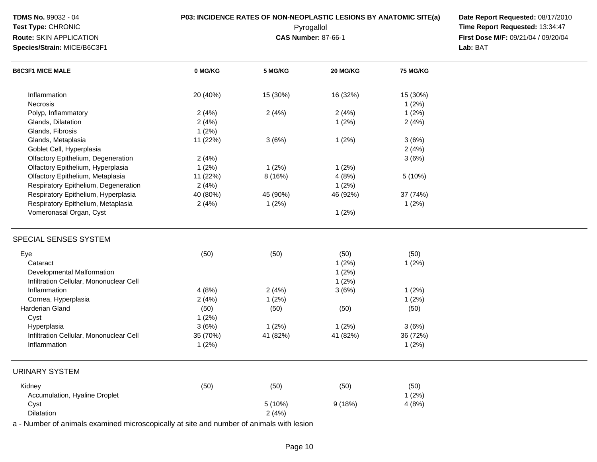| <b>TDMS No. 99032 - 04</b><br>Test Type: CHRONIC<br>Route: SKIN APPLICATION<br>Species/Strain: MICE/B6C3F1 | P03: INCIDENCE RATES OF NON-NEOPLASTIC LESIONS BY ANATOMIC SITE(a) | Date Report Requested: 08/17/2010<br>Time Report Requested: 13:34:47<br>First Dose M/F: 09/21/04 / 09/20/04<br>Lab: BAT |          |                   |  |
|------------------------------------------------------------------------------------------------------------|--------------------------------------------------------------------|-------------------------------------------------------------------------------------------------------------------------|----------|-------------------|--|
| <b>B6C3F1 MICE MALE</b>                                                                                    | 0 MG/KG                                                            | 5 MG/KG                                                                                                                 | 20 MG/KG | <b>75 MG/KG</b>   |  |
| Inflammation                                                                                               | 20 (40%)                                                           | 15 (30%)                                                                                                                | 16 (32%) | 15 (30%)          |  |
| Necrosis                                                                                                   |                                                                    |                                                                                                                         |          | 1(2%)             |  |
| Polyp, Inflammatory                                                                                        | 2(4%)                                                              | 2(4%)                                                                                                                   | 2(4%)    | 1(2%)             |  |
| Glands, Dilatation                                                                                         | 2(4%)                                                              |                                                                                                                         | 1(2%)    | 2(4%)             |  |
| Glands, Fibrosis                                                                                           | 1(2%)                                                              |                                                                                                                         |          |                   |  |
| Glands, Metaplasia                                                                                         | 11 (22%)                                                           | 3(6%)                                                                                                                   | 1(2%)    | 3(6%)             |  |
| Goblet Cell, Hyperplasia                                                                                   |                                                                    |                                                                                                                         |          | 2(4%)             |  |
| Olfactory Epithelium, Degeneration                                                                         | 2(4%)                                                              |                                                                                                                         |          | 3(6%)             |  |
| Olfactory Epithelium, Hyperplasia                                                                          | 1(2%)                                                              | 1(2%)                                                                                                                   | 1(2%)    |                   |  |
| Olfactory Epithelium, Metaplasia                                                                           | 11 (22%)                                                           | 8 (16%)                                                                                                                 | 4(8%)    | 5 (10%)           |  |
| Respiratory Epithelium, Degeneration                                                                       | 2(4%)                                                              |                                                                                                                         | 1(2%)    |                   |  |
| Respiratory Epithelium, Hyperplasia                                                                        | 40 (80%)                                                           | 45 (90%)                                                                                                                | 46 (92%) | 37 (74%)          |  |
| Respiratory Epithelium, Metaplasia                                                                         | 2(4%)                                                              | 1(2%)                                                                                                                   |          | 1(2%)             |  |
| Vomeronasal Organ, Cyst                                                                                    |                                                                    |                                                                                                                         | 1(2%)    |                   |  |
| SPECIAL SENSES SYSTEM                                                                                      |                                                                    |                                                                                                                         |          |                   |  |
| Eye                                                                                                        | (50)                                                               | (50)                                                                                                                    | (50)     | (50)              |  |
| Cataract                                                                                                   |                                                                    |                                                                                                                         | 1(2%)    | 1(2%)             |  |
| Developmental Malformation                                                                                 |                                                                    |                                                                                                                         | 1(2%)    |                   |  |
| Infiltration Cellular, Mononuclear Cell                                                                    |                                                                    |                                                                                                                         | 1(2%)    |                   |  |
| Inflammation                                                                                               | 4(8%)                                                              | 2(4%)                                                                                                                   | 3(6%)    | 1(2%)             |  |
| Cornea, Hyperplasia                                                                                        | 2(4%)                                                              | 1(2%)                                                                                                                   |          | 1(2%)             |  |
| Harderian Gland                                                                                            |                                                                    |                                                                                                                         |          |                   |  |
|                                                                                                            | (50)                                                               | (50)                                                                                                                    | (50)     | (50)              |  |
| Cyst<br>Hyperplasia                                                                                        | 1(2%)                                                              |                                                                                                                         |          |                   |  |
| Infiltration Cellular, Mononuclear Cell                                                                    | 3(6%)                                                              | 1(2%)                                                                                                                   | 1(2%)    | 3(6%)             |  |
| Inflammation                                                                                               | 35 (70%)<br>1(2%)                                                  | 41 (82%)                                                                                                                | 41 (82%) | 36 (72%)<br>1(2%) |  |
|                                                                                                            |                                                                    |                                                                                                                         |          |                   |  |
| <b>URINARY SYSTEM</b>                                                                                      |                                                                    |                                                                                                                         |          |                   |  |
| Kidney                                                                                                     | (50)                                                               | (50)                                                                                                                    | (50)     | (50)              |  |
| Accumulation, Hyaline Droplet                                                                              |                                                                    |                                                                                                                         |          | 1(2%)             |  |
| Cyst                                                                                                       |                                                                    | 5 (10%)                                                                                                                 | 9(18%)   | 4(8%)             |  |
| Dilatation                                                                                                 |                                                                    | 2(4%)                                                                                                                   |          |                   |  |
| a - Number of animals examined microscopically at site and number of animals with lesion                   |                                                                    |                                                                                                                         |          |                   |  |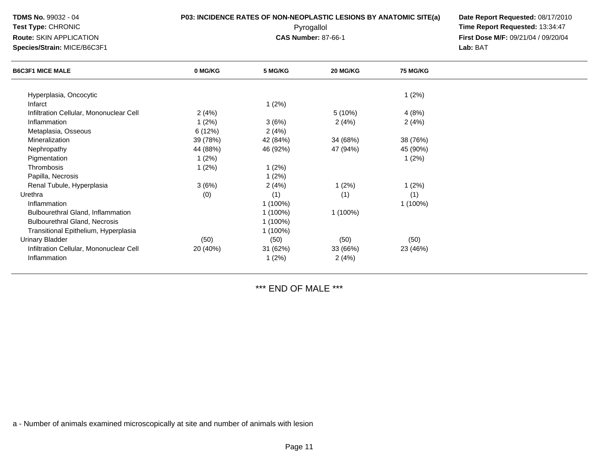| <b>TDMS No. 99032 - 04</b><br>Test Type: CHRONIC<br>Route: SKIN APPLICATION<br>Species/Strain: MICE/B6C3F1 | <b>P03: INCIDENCE RATES OF NON-NEOPLASTIC LESIONS BY ANATOMIC SITE(a)</b> | Date Report Requested: 08/17/2010<br>Time Report Requested: 13:34:47<br>First Dose M/F: 09/21/04 / 09/20/04<br>Lab: BAT |          |                 |  |
|------------------------------------------------------------------------------------------------------------|---------------------------------------------------------------------------|-------------------------------------------------------------------------------------------------------------------------|----------|-----------------|--|
| <b>B6C3F1 MICE MALE</b>                                                                                    | 0 MG/KG                                                                   | 5 MG/KG                                                                                                                 | 20 MG/KG | <b>75 MG/KG</b> |  |
| Hyperplasia, Oncocytic                                                                                     |                                                                           |                                                                                                                         |          | 1(2%)           |  |
| Infarct                                                                                                    |                                                                           | 1(2%)                                                                                                                   |          |                 |  |
| Infiltration Cellular, Mononuclear Cell                                                                    | 2(4%)                                                                     |                                                                                                                         | 5(10%)   | 4(8%)           |  |
| Inflammation                                                                                               | 1(2%)                                                                     | 3(6%)                                                                                                                   | 2(4%)    | 2(4%)           |  |
| Metaplasia, Osseous                                                                                        | 6(12%)                                                                    | 2(4%)                                                                                                                   |          |                 |  |
| Mineralization                                                                                             | 39 (78%)                                                                  | 42 (84%)                                                                                                                | 34 (68%) | 38 (76%)        |  |
| Nephropathy                                                                                                | 44 (88%)                                                                  | 46 (92%)                                                                                                                | 47 (94%) | 45 (90%)        |  |
| Pigmentation                                                                                               | 1(2%)                                                                     |                                                                                                                         |          | 1(2%)           |  |
| Thrombosis                                                                                                 | 1(2%)                                                                     | 1(2%)                                                                                                                   |          |                 |  |
| Papilla, Necrosis                                                                                          |                                                                           | 1(2%)                                                                                                                   |          |                 |  |
| Renal Tubule, Hyperplasia                                                                                  | 3(6%)                                                                     | 2(4%)                                                                                                                   | 1(2%)    | 1(2%)           |  |
| Urethra                                                                                                    | (0)                                                                       | (1)                                                                                                                     | (1)      | (1)             |  |
| Inflammation                                                                                               |                                                                           | $1(100\%)$                                                                                                              |          | 1 (100%)        |  |
| <b>Bulbourethral Gland, Inflammation</b>                                                                   |                                                                           | 1 (100%)                                                                                                                | 1 (100%) |                 |  |
| <b>Bulbourethral Gland, Necrosis</b>                                                                       |                                                                           | $1(100\%)$                                                                                                              |          |                 |  |
| Transitional Epithelium, Hyperplasia                                                                       |                                                                           | $1(100\%)$                                                                                                              |          |                 |  |
| <b>Urinary Bladder</b>                                                                                     | (50)                                                                      | (50)                                                                                                                    | (50)     | (50)            |  |
| Infiltration Cellular, Mononuclear Cell                                                                    | 20 (40%)                                                                  | 31 (62%)                                                                                                                | 33 (66%) | 23 (46%)        |  |
| Inflammation                                                                                               |                                                                           | 1(2%)                                                                                                                   | 2(4%)    |                 |  |
|                                                                                                            |                                                                           |                                                                                                                         |          |                 |  |

\*\*\* END OF MALE \*\*\*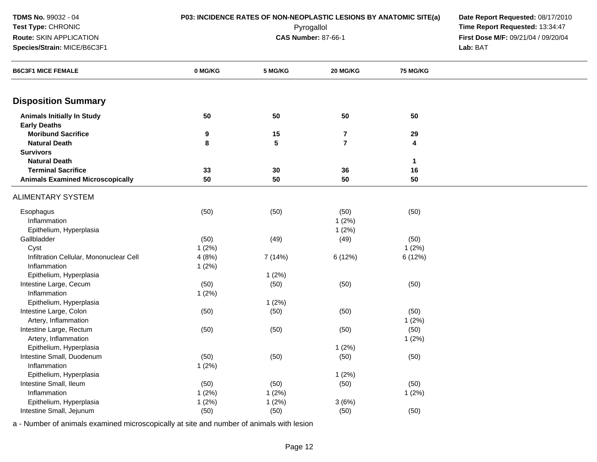| TDMS No. 99032 - 04                                      | P03: INCIDENCE RATES OF NON-NEOPLASTIC LESIONS BY ANATOMIC SITE(a) |                            |                                     |              |          |
|----------------------------------------------------------|--------------------------------------------------------------------|----------------------------|-------------------------------------|--------------|----------|
| Test Type: CHRONIC                                       |                                                                    | Pyrogallol                 | Time Report Requested: 13:34:47     |              |          |
| Route: SKIN APPLICATION                                  |                                                                    | <b>CAS Number: 87-66-1</b> | First Dose M/F: 09/21/04 / 09/20/04 |              |          |
| Species/Strain: MICE/B6C3F1                              |                                                                    |                            |                                     |              | Lab: BAT |
| <b>B6C3F1 MICE FEMALE</b>                                | 0 MG/KG                                                            | 5 MG/KG                    | 20 MG/KG                            | 75 MG/KG     |          |
| <b>Disposition Summary</b>                               |                                                                    |                            |                                     |              |          |
| <b>Animals Initially In Study</b><br><b>Early Deaths</b> | 50                                                                 | 50                         | 50                                  | 50           |          |
| <b>Moribund Sacrifice</b>                                | 9                                                                  | 15                         | 7                                   | 29           |          |
| <b>Natural Death</b>                                     | 8                                                                  | $5\phantom{.0}$            | $\overline{7}$                      | 4            |          |
| <b>Survivors</b>                                         |                                                                    |                            |                                     |              |          |
| <b>Natural Death</b>                                     |                                                                    |                            |                                     | $\mathbf{1}$ |          |
| <b>Terminal Sacrifice</b>                                | 33                                                                 | 30                         | 36                                  | 16           |          |
| <b>Animals Examined Microscopically</b>                  | 50                                                                 | 50                         | 50                                  | 50           |          |
| <b>ALIMENTARY SYSTEM</b>                                 |                                                                    |                            |                                     |              |          |
| Esophagus                                                | (50)                                                               | (50)                       | (50)                                | (50)         |          |
| Inflammation                                             |                                                                    |                            | 1(2%)                               |              |          |
| Epithelium, Hyperplasia                                  |                                                                    |                            | 1(2%)                               |              |          |
| Gallbladder                                              | (50)                                                               | (49)                       | (49)                                | (50)         |          |
| Cyst                                                     | 1(2%)                                                              |                            |                                     | 1(2%)        |          |
| Infiltration Cellular, Mononuclear Cell                  | 4(8%)                                                              | 7 (14%)                    | 6 (12%)                             | 6 (12%)      |          |
| Inflammation                                             | 1(2%)                                                              |                            |                                     |              |          |
| Epithelium, Hyperplasia                                  |                                                                    | 1(2%)                      |                                     |              |          |
| Intestine Large, Cecum                                   | (50)                                                               | (50)                       | (50)                                | (50)         |          |
| Inflammation                                             | 1(2%)                                                              |                            |                                     |              |          |
| Epithelium, Hyperplasia                                  |                                                                    | 1(2%)                      |                                     |              |          |
| Intestine Large, Colon                                   | (50)                                                               | (50)                       | (50)                                | (50)         |          |
| Artery, Inflammation                                     |                                                                    |                            |                                     | 1(2%)        |          |
| Intestine Large, Rectum                                  | (50)                                                               | (50)                       | (50)                                | (50)         |          |
| Artery, Inflammation                                     |                                                                    |                            |                                     | 1(2%)        |          |
| Epithelium, Hyperplasia                                  |                                                                    |                            | 1(2%)                               |              |          |
| Intestine Small, Duodenum                                | (50)                                                               | (50)                       | (50)                                | (50)         |          |
| Inflammation                                             | 1(2%)                                                              |                            |                                     |              |          |
| Epithelium, Hyperplasia                                  |                                                                    |                            | 1(2%)                               |              |          |
| Intestine Small, Ileum                                   | (50)                                                               | (50)                       | (50)                                | (50)         |          |
| Inflammation                                             | 1(2%)                                                              | 1(2%)                      |                                     | 1(2%)        |          |
| Epithelium, Hyperplasia                                  | 1(2%)                                                              | 1(2%)                      | 3(6%)                               |              |          |
| Intestine Small, Jejunum                                 | (50)                                                               | (50)                       | (50)                                | (50)         |          |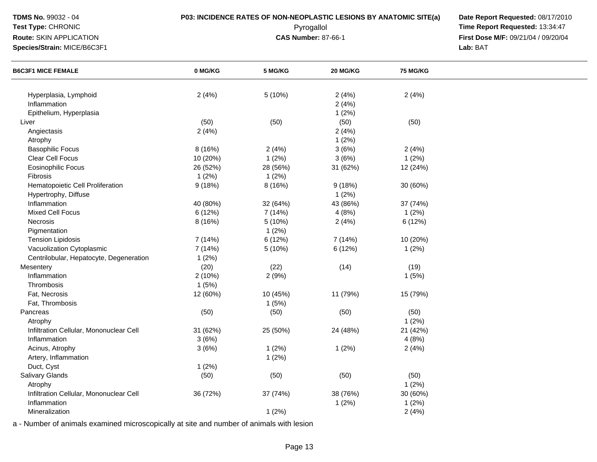**Test Type:** CHRONIC

**Route:** SKIN APPLICATION

**Species/Strain:** MICE/B6C3F1

**P03: INCIDENCE RATES OF NON-NEOPLASTIC LESIONS BY ANATOMIC SITE(a) Date Report Requested: 08/17/2010<br>Pyrogallol <b>Proport Report Requested:** 13:34:47 Pyrogallol **Time Report Requested:** 13:34:47 **First Dose M/F:** 09/21/04 / 09/20/04<br>Lab: BAT **Lab:** BAT

| <b>B6C3F1 MICE FEMALE</b>               | 0 MG/KG  | 5 MG/KG  | 20 MG/KG | <b>75 MG/KG</b> |  |
|-----------------------------------------|----------|----------|----------|-----------------|--|
|                                         |          |          |          |                 |  |
| Hyperplasia, Lymphoid                   | 2(4%)    | 5(10%)   | 2(4%)    | 2(4%)           |  |
| Inflammation                            |          |          | 2(4%)    |                 |  |
| Epithelium, Hyperplasia                 |          |          | 1(2%)    |                 |  |
| Liver                                   | (50)     | (50)     | (50)     | (50)            |  |
| Angiectasis                             | 2(4%)    |          | 2(4%)    |                 |  |
| Atrophy                                 |          |          | 1(2%)    |                 |  |
| <b>Basophilic Focus</b>                 | 8 (16%)  | 2(4%)    | 3(6%)    | 2(4%)           |  |
| Clear Cell Focus                        | 10 (20%) | 1(2%)    | 3(6%)    | 1(2%)           |  |
| <b>Eosinophilic Focus</b>               | 26 (52%) | 28 (56%) | 31 (62%) | 12 (24%)        |  |
| Fibrosis                                | 1(2%)    | 1(2%)    |          |                 |  |
| Hematopoietic Cell Proliferation        | 9(18%)   | 8 (16%)  | 9(18%)   | 30 (60%)        |  |
| Hypertrophy, Diffuse                    |          |          | 1(2%)    |                 |  |
| Inflammation                            | 40 (80%) | 32 (64%) | 43 (86%) | 37 (74%)        |  |
| <b>Mixed Cell Focus</b>                 | 6 (12%)  | 7 (14%)  | 4(8%)    | 1(2%)           |  |
| Necrosis                                | 8 (16%)  | 5 (10%)  | 2(4%)    | 6 (12%)         |  |
| Pigmentation                            |          | 1(2%)    |          |                 |  |
| <b>Tension Lipidosis</b>                | 7 (14%)  | 6 (12%)  | 7 (14%)  | 10 (20%)        |  |
| Vacuolization Cytoplasmic               | 7 (14%)  | 5 (10%)  | 6 (12%)  | 1(2%)           |  |
| Centrilobular, Hepatocyte, Degeneration | 1(2%)    |          |          |                 |  |
| Mesentery                               | (20)     | (22)     | (14)     | (19)            |  |
| Inflammation                            | 2 (10%)  | 2(9%)    |          | 1(5%)           |  |
| Thrombosis                              | 1(5%)    |          |          |                 |  |
| Fat, Necrosis                           | 12 (60%) | 10 (45%) | 11 (79%) | 15 (79%)        |  |
| Fat, Thrombosis                         |          | 1(5%)    |          |                 |  |
| Pancreas                                | (50)     | (50)     | (50)     | (50)            |  |
| Atrophy                                 |          |          |          | 1(2%)           |  |
| Infiltration Cellular, Mononuclear Cell | 31 (62%) | 25 (50%) | 24 (48%) | 21 (42%)        |  |
| Inflammation                            | 3(6%)    |          |          | 4(8%)           |  |
|                                         |          |          |          |                 |  |
| Acinus, Atrophy                         | 3(6%)    | 1(2%)    | 1(2%)    | 2(4%)           |  |
| Artery, Inflammation                    |          | 1(2%)    |          |                 |  |
| Duct, Cyst                              | 1(2%)    |          |          |                 |  |
| Salivary Glands                         | (50)     | (50)     | (50)     | (50)            |  |
| Atrophy                                 |          |          |          | $1(2\%)$        |  |
| Infiltration Cellular, Mononuclear Cell | 36 (72%) | 37 (74%) | 38 (76%) | 30 (60%)        |  |
| Inflammation                            |          |          | 1(2%)    | 1(2%)           |  |
| Mineralization                          |          | 1(2%)    |          | 2(4%)           |  |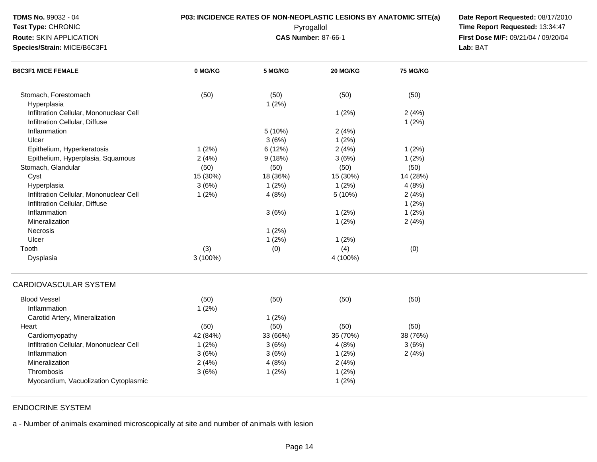## **Test Type:** CHRONIC

**Route:** SKIN APPLICATION

**Species/Strain:** MICE/B6C3F1

**P03: INCIDENCE RATES OF NON-NEOPLASTIC LESIONS BY ANATOMIC SITE(a) Date Report Requested: 08/17/2010<br>Pyrogallol <b>Proport Report Requested:** 13:34:47 Pyrogallol **Time Report Requested:** 13:34:47 **First Dose M/F:** 09/21/04 / 09/20/04<br>Lab: BAT **Lab:** BAT

| <b>B6C3F1 MICE FEMALE</b>               | 0 MG/KG  | 5 MG/KG  | 20 MG/KG | 75 MG/KG |  |
|-----------------------------------------|----------|----------|----------|----------|--|
| Stomach, Forestomach                    | (50)     | (50)     | (50)     | (50)     |  |
| Hyperplasia                             |          | 1(2%)    |          |          |  |
| Infiltration Cellular, Mononuclear Cell |          |          | 1(2%)    | 2(4%)    |  |
| Infiltration Cellular, Diffuse          |          |          |          | 1(2%)    |  |
| Inflammation                            |          | 5(10%)   | 2(4%)    |          |  |
| Ulcer                                   |          | 3(6%)    | 1(2%)    |          |  |
| Epithelium, Hyperkeratosis              | 1(2%)    | 6 (12%)  | 2(4%)    | 1(2%)    |  |
| Epithelium, Hyperplasia, Squamous       | 2(4%)    | 9(18%)   | 3(6%)    | 1(2%)    |  |
| Stomach, Glandular                      | (50)     | (50)     | (50)     | (50)     |  |
| Cyst                                    | 15 (30%) | 18 (36%) | 15 (30%) | 14 (28%) |  |
| Hyperplasia                             | 3(6%)    | 1(2%)    | 1(2%)    | 4(8%)    |  |
| Infiltration Cellular, Mononuclear Cell | 1(2%)    | 4(8%)    | 5 (10%)  | 2(4%)    |  |
| Infiltration Cellular, Diffuse          |          |          |          | 1(2%)    |  |
| Inflammation                            |          | 3(6%)    | 1(2%)    | 1(2%)    |  |
| Mineralization                          |          |          | 1(2%)    | 2(4%)    |  |
| <b>Necrosis</b>                         |          | 1(2%)    |          |          |  |
| Ulcer                                   |          | 1(2%)    | 1(2%)    |          |  |
| Tooth                                   | (3)      | (0)      | (4)      | (0)      |  |
| Dysplasia                               | 3 (100%) |          | 4 (100%) |          |  |
| <b>CARDIOVASCULAR SYSTEM</b>            |          |          |          |          |  |
| <b>Blood Vessel</b>                     | (50)     | (50)     | (50)     | (50)     |  |
| Inflammation                            | 1(2%)    |          |          |          |  |
| Carotid Artery, Mineralization          |          | 1(2%)    |          |          |  |
| Heart                                   | (50)     | (50)     | (50)     | (50)     |  |
| Cardiomyopathy                          | 42 (84%) | 33 (66%) | 35 (70%) | 38 (76%) |  |
| Infiltration Cellular, Mononuclear Cell | 1(2%)    | 3(6%)    | 4(8%)    | 3(6%)    |  |
| Inflammation                            | 3(6%)    | 3(6%)    | 1(2%)    | 2(4%)    |  |
| Mineralization                          | 2(4%)    | 4(8%)    | 2(4%)    |          |  |
| Thrombosis                              | 3(6%)    | 1(2%)    | 1(2%)    |          |  |
| Myocardium, Vacuolization Cytoplasmic   |          |          | 1(2%)    |          |  |

## ENDOCRINE SYSTEM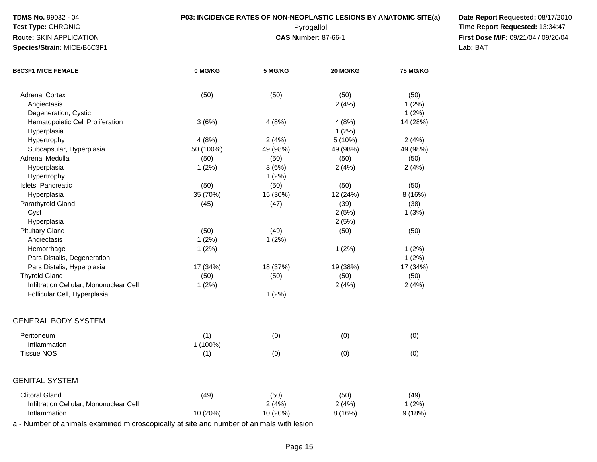| TDMS No. 99032 - 04                                      |           | P03: INCIDENCE RATES OF NON-NEOPLASTIC LESIONS BY ANATOMIC SITE(a)   |          |          |  |  |  |
|----------------------------------------------------------|-----------|----------------------------------------------------------------------|----------|----------|--|--|--|
| Test Type: CHRONIC                                       |           | Date Report Requested: 08/17/2010<br>Time Report Requested: 13:34:47 |          |          |  |  |  |
| Route: SKIN APPLICATION                                  |           | First Dose M/F: 09/21/04 / 09/20/04                                  |          |          |  |  |  |
| Species/Strain: MICE/B6C3F1<br><b>B6C3F1 MICE FEMALE</b> |           | Lab: BAT                                                             |          |          |  |  |  |
|                                                          | 0 MG/KG   | 5 MG/KG                                                              | 20 MG/KG | 75 MG/KG |  |  |  |
| <b>Adrenal Cortex</b>                                    | (50)      | (50)                                                                 | (50)     | (50)     |  |  |  |
| Angiectasis                                              |           |                                                                      | 2(4%)    | 1(2%)    |  |  |  |
| Degeneration, Cystic                                     |           |                                                                      |          | 1(2%)    |  |  |  |
| Hematopoietic Cell Proliferation                         | 3(6%)     | 4(8%)                                                                | 4(8%)    | 14 (28%) |  |  |  |
| Hyperplasia                                              |           |                                                                      | 1(2%)    |          |  |  |  |
| Hypertrophy                                              | 4(8%)     | 2(4%)                                                                | 5(10%)   | 2(4%)    |  |  |  |
| Subcapsular, Hyperplasia                                 | 50 (100%) | 49 (98%)                                                             | 49 (98%) | 49 (98%) |  |  |  |
| Adrenal Medulla                                          | (50)      | (50)                                                                 | (50)     | (50)     |  |  |  |
| Hyperplasia                                              | 1(2%)     | 3(6%)                                                                | 2(4%)    | 2(4%)    |  |  |  |
| Hypertrophy                                              |           | 1(2%)                                                                |          |          |  |  |  |
| Islets, Pancreatic                                       | (50)      | (50)                                                                 | (50)     | (50)     |  |  |  |
| Hyperplasia                                              | 35 (70%)  | 15 (30%)                                                             | 12 (24%) | 8 (16%)  |  |  |  |
| Parathyroid Gland                                        | (45)      | (47)                                                                 | (39)     | (38)     |  |  |  |
| Cyst                                                     |           |                                                                      | 2(5%)    | 1(3%)    |  |  |  |
| Hyperplasia                                              |           |                                                                      | 2(5%)    |          |  |  |  |
| <b>Pituitary Gland</b>                                   | (50)      | (49)                                                                 | (50)     | (50)     |  |  |  |
| Angiectasis                                              | 1(2%)     | 1(2%)                                                                |          |          |  |  |  |
| Hemorrhage                                               | 1(2%)     |                                                                      | 1(2%)    | 1(2%)    |  |  |  |
| Pars Distalis, Degeneration                              |           |                                                                      |          | 1(2%)    |  |  |  |
| Pars Distalis, Hyperplasia                               | 17 (34%)  | 18 (37%)                                                             | 19 (38%) | 17 (34%) |  |  |  |
| <b>Thyroid Gland</b>                                     | (50)      | (50)                                                                 | (50)     | (50)     |  |  |  |
| Infiltration Cellular, Mononuclear Cell                  | 1(2%)     |                                                                      | 2(4%)    | 2(4%)    |  |  |  |
| Follicular Cell, Hyperplasia                             |           | 1(2%)                                                                |          |          |  |  |  |
| <b>GENERAL BODY SYSTEM</b>                               |           |                                                                      |          |          |  |  |  |
| Peritoneum                                               | (1)       | (0)                                                                  | (0)      | (0)      |  |  |  |
| Inflammation                                             | 1 (100%)  |                                                                      |          |          |  |  |  |
| Tissue NOS                                               | (1)       | (0)                                                                  | (0)      | (0)      |  |  |  |
| <b>GENITAL SYSTEM</b>                                    |           |                                                                      |          |          |  |  |  |
| <b>Clitoral Gland</b>                                    | (49)      | (50)                                                                 | (50)     | (49)     |  |  |  |
| Infiltration Cellular, Mononuclear Cell                  |           | 2(4%)                                                                | 2(4%)    | 1(2%)    |  |  |  |
| Inflammation                                             | 10 (20%)  | 10 (20%)                                                             | 8 (16%)  | 9(18%)   |  |  |  |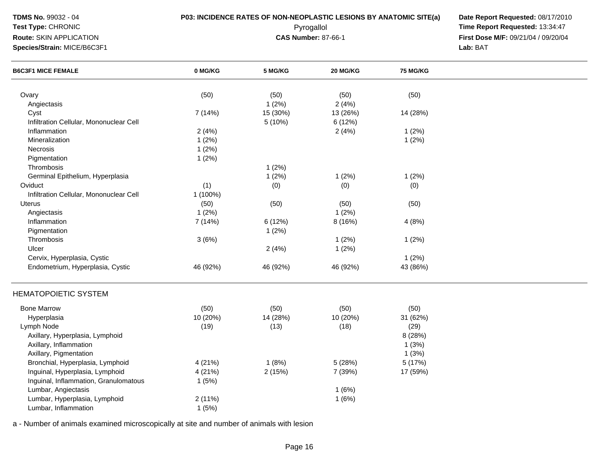| <b>TDMS No. 99032 - 04</b><br>Test Type: CHRONIC<br>Route: SKIN APPLICATION<br>Species/Strain: MICE/B6C3F1   |                             | P03: INCIDENCE RATES OF NON-NEOPLASTIC LESIONS BY ANATOMIC SITE(a)<br>Pyrogallol<br><b>CAS Number: 87-66-1</b> | Date Report Requested: 08/17/2010<br>Time Report Requested: 13:34:47<br>First Dose M/F: 09/21/04 / 09/20/04<br>Lab: BAT |                           |  |
|--------------------------------------------------------------------------------------------------------------|-----------------------------|----------------------------------------------------------------------------------------------------------------|-------------------------------------------------------------------------------------------------------------------------|---------------------------|--|
| <b>B6C3F1 MICE FEMALE</b>                                                                                    | 0 MG/KG                     | 5 MG/KG                                                                                                        | 20 MG/KG                                                                                                                | <b>75 MG/KG</b>           |  |
| Ovary<br>Angiectasis                                                                                         | (50)                        | (50)<br>1(2%)                                                                                                  | (50)<br>2(4%)                                                                                                           | (50)                      |  |
| Cyst<br>Infiltration Cellular, Mononuclear Cell                                                              | 7 (14%)                     | 15 (30%)<br>5 (10%)                                                                                            | 13 (26%)<br>6 (12%)                                                                                                     | 14 (28%)                  |  |
| Inflammation<br>Mineralization<br>Necrosis<br>Pigmentation                                                   | 2(4%)<br>1(2%)<br>1(2%)     |                                                                                                                | 2(4%)                                                                                                                   | 1(2%)<br>1(2%)            |  |
| Thrombosis<br>Germinal Epithelium, Hyperplasia                                                               | 1(2%)                       | 1(2%)<br>1(2%)                                                                                                 | 1(2%)                                                                                                                   | 1(2%)                     |  |
| Oviduct<br>Infiltration Cellular, Mononuclear Cell                                                           | (1)<br>1 (100%)             | (0)                                                                                                            | (0)                                                                                                                     | (0)                       |  |
| Uterus<br>Angiectasis                                                                                        | (50)<br>1(2%)               | (50)                                                                                                           | (50)<br>1(2%)                                                                                                           | (50)                      |  |
| Inflammation<br>Pigmentation                                                                                 | 7 (14%)                     | 6(12%)<br>1(2%)                                                                                                | 8 (16%)                                                                                                                 | 4(8%)                     |  |
| Thrombosis<br>Ulcer                                                                                          | 3(6%)                       | 2(4%)                                                                                                          | 1(2%)<br>1(2%)                                                                                                          | 1(2%)                     |  |
| Cervix, Hyperplasia, Cystic<br>Endometrium, Hyperplasia, Cystic                                              | 46 (92%)                    | 46 (92%)                                                                                                       | 46 (92%)                                                                                                                | 1(2%)<br>43 (86%)         |  |
| <b>HEMATOPOIETIC SYSTEM</b>                                                                                  |                             |                                                                                                                |                                                                                                                         |                           |  |
| <b>Bone Marrow</b>                                                                                           | (50)                        | (50)                                                                                                           | (50)                                                                                                                    | (50)                      |  |
| Hyperplasia<br>Lymph Node                                                                                    | 10 (20%)<br>(19)            | 14 (28%)<br>(13)                                                                                               | 10 (20%)<br>(18)                                                                                                        | 31 (62%)<br>(29)          |  |
| Axillary, Hyperplasia, Lymphoid<br>Axillary, Inflammation<br>Axillary, Pigmentation                          |                             |                                                                                                                |                                                                                                                         | 8 (28%)<br>1(3%)<br>1(3%) |  |
| Bronchial, Hyperplasia, Lymphoid<br>Inguinal, Hyperplasia, Lymphoid<br>Inguinal, Inflammation, Granulomatous | 4 (21%)<br>4 (21%)<br>1(5%) | 1(8%)<br>2(15%)                                                                                                | 5(28%)<br>7 (39%)                                                                                                       | 5 (17%)<br>17 (59%)       |  |
| Lumbar, Angiectasis<br>Lumbar, Hyperplasia, Lymphoid<br>Lumbar, Inflammation                                 | 2(11%)<br>1(5%)             |                                                                                                                | 1(6%)<br>1(6%)                                                                                                          |                           |  |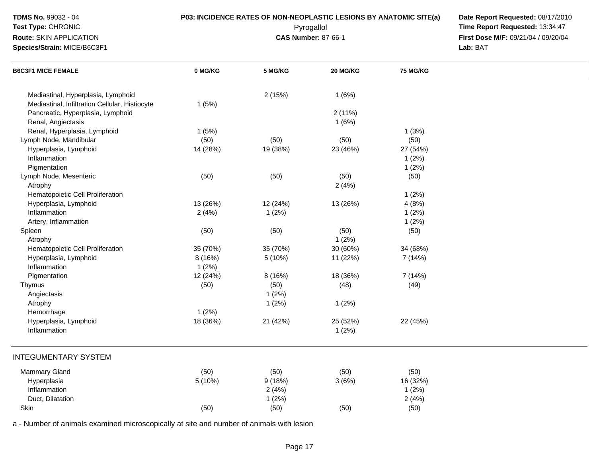## **Test Type:** CHRONIC**Route:** SKIN APPLICATION

**Species/Strain:** MICE/B6C3F1

**P03: INCIDENCE RATES OF NON-NEOPLASTIC LESIONS BY ANATOMIC SITE(a) Date Report Requested: 08/17/2010<br>Pyrogallol <b>Proport Report Requested:** 13:34:47 Pyrogallol **Time Report Requested:** 13:34:47 **First Dose M/F:** 09/21/04 / 09/20/04<br>Lab: BAT **Lab:** BAT

| <b>B6C3F1 MICE FEMALE</b>                      | 0 MG/KG  | 5 MG/KG  | 20 MG/KG | <b>75 MG/KG</b> |  |
|------------------------------------------------|----------|----------|----------|-----------------|--|
| Mediastinal, Hyperplasia, Lymphoid             |          | 2(15%)   | 1(6%)    |                 |  |
| Mediastinal, Infiltration Cellular, Histiocyte | 1(5%)    |          |          |                 |  |
| Pancreatic, Hyperplasia, Lymphoid              |          |          | 2(11%)   |                 |  |
| Renal, Angiectasis                             |          |          | 1(6%)    |                 |  |
| Renal, Hyperplasia, Lymphoid                   | 1(5%)    |          |          | 1(3%)           |  |
| Lymph Node, Mandibular                         | (50)     | (50)     | (50)     | (50)            |  |
| Hyperplasia, Lymphoid                          |          |          | 23 (46%) | 27 (54%)        |  |
| Inflammation                                   | 14 (28%) | 19 (38%) |          |                 |  |
|                                                |          |          |          | 1(2%)           |  |
| Pigmentation                                   |          |          |          | 1(2%)           |  |
| Lymph Node, Mesenteric                         | (50)     | (50)     | (50)     | (50)            |  |
| Atrophy                                        |          |          | 2(4%)    |                 |  |
| Hematopoietic Cell Proliferation               |          |          |          | 1(2%)           |  |
| Hyperplasia, Lymphoid                          | 13 (26%) | 12 (24%) | 13 (26%) | 4(8%)           |  |
| Inflammation                                   | 2(4%)    | 1(2%)    |          | 1(2%)           |  |
| Artery, Inflammation                           |          |          |          | 1(2%)           |  |
| Spleen                                         | (50)     | (50)     | (50)     | (50)            |  |
| Atrophy                                        |          |          | 1(2%)    |                 |  |
| Hematopoietic Cell Proliferation               | 35 (70%) | 35 (70%) | 30 (60%) | 34 (68%)        |  |
| Hyperplasia, Lymphoid                          | 8 (16%)  | 5 (10%)  | 11 (22%) | 7 (14%)         |  |
| Inflammation                                   | 1(2%)    |          |          |                 |  |
| Pigmentation                                   | 12 (24%) | 8 (16%)  | 18 (36%) | 7 (14%)         |  |
| Thymus                                         | (50)     | (50)     | (48)     | (49)            |  |
| Angiectasis                                    |          | 1(2%)    |          |                 |  |
| Atrophy                                        |          | 1(2%)    | 1(2%)    |                 |  |
| Hemorrhage                                     | 1(2%)    |          |          |                 |  |
| Hyperplasia, Lymphoid                          | 18 (36%) | 21 (42%) | 25 (52%) | 22 (45%)        |  |
| Inflammation                                   |          |          | 1(2%)    |                 |  |
| <b>INTEGUMENTARY SYSTEM</b>                    |          |          |          |                 |  |
| Mammary Gland                                  | (50)     | (50)     | (50)     | (50)            |  |
| Hyperplasia                                    | 5 (10%)  | 9(18%)   | 3(6%)    | 16 (32%)        |  |
| Inflammation                                   |          | 2(4%)    |          | 1(2%)           |  |
| Duct, Dilatation                               |          | 1(2%)    |          | 2(4%)           |  |
| Skin                                           | (50)     | (50)     | (50)     | (50)            |  |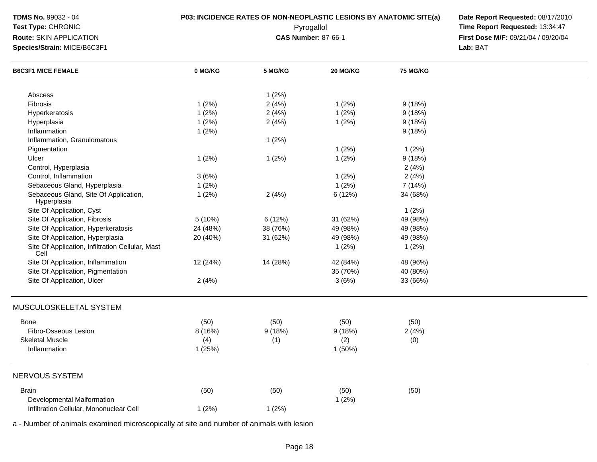| <b>TDMS No. 99032 - 04</b><br>Test Type: CHRONIC<br>Route: SKIN APPLICATION<br>Species/Strain: MICE/B6C3F1 | <b>P03: INCIDENCE RATES OF NON-NEOPLASTIC LESIONS BY ANATOMIC SITE(a)</b> | Date Report Requested: 08/17/2010<br>Time Report Requested: 13:34:47<br>First Dose M/F: 09/21/04 / 09/20/04<br>Lab: BAT |          |                 |  |
|------------------------------------------------------------------------------------------------------------|---------------------------------------------------------------------------|-------------------------------------------------------------------------------------------------------------------------|----------|-----------------|--|
| <b>B6C3F1 MICE FEMALE</b>                                                                                  | 0 MG/KG                                                                   | 5 MG/KG                                                                                                                 | 20 MG/KG | <b>75 MG/KG</b> |  |
| Abscess                                                                                                    |                                                                           | 1(2%)                                                                                                                   |          |                 |  |
| Fibrosis                                                                                                   | 1(2%)                                                                     | 2(4%)                                                                                                                   | 1(2%)    | 9(18%)          |  |
| Hyperkeratosis                                                                                             | 1(2%)                                                                     | 2(4%)                                                                                                                   | 1(2%)    | 9(18%)          |  |
| Hyperplasia                                                                                                | 1(2%)                                                                     | 2(4%)                                                                                                                   | 1(2%)    | 9(18%)          |  |
| Inflammation                                                                                               | 1(2%)                                                                     |                                                                                                                         |          | 9(18%)          |  |
| Inflammation, Granulomatous                                                                                |                                                                           | 1(2%)                                                                                                                   |          |                 |  |
| Pigmentation                                                                                               |                                                                           |                                                                                                                         | 1(2%)    | 1(2%)           |  |
| Ulcer                                                                                                      | 1(2%)                                                                     | 1(2%)                                                                                                                   | 1(2%)    | 9(18%)          |  |
| Control, Hyperplasia                                                                                       |                                                                           |                                                                                                                         |          | 2(4%)           |  |
| Control, Inflammation                                                                                      | 3(6%)                                                                     |                                                                                                                         | 1(2%)    | 2(4%)           |  |
| Sebaceous Gland, Hyperplasia                                                                               | 1(2%)                                                                     |                                                                                                                         | 1(2%)    | 7 (14%)         |  |
| Sebaceous Gland, Site Of Application,<br>Hyperplasia                                                       | 1(2%)                                                                     | 2(4%)                                                                                                                   | 6(12%)   | 34 (68%)        |  |
| Site Of Application, Cyst                                                                                  |                                                                           |                                                                                                                         |          | 1(2%)           |  |
| Site Of Application, Fibrosis                                                                              | 5(10%)                                                                    | 6(12%)                                                                                                                  | 31 (62%) | 49 (98%)        |  |
| Site Of Application, Hyperkeratosis                                                                        | 24 (48%)                                                                  | 38 (76%)                                                                                                                | 49 (98%) | 49 (98%)        |  |
| Site Of Application, Hyperplasia                                                                           | 20 (40%)                                                                  | 31 (62%)                                                                                                                | 49 (98%) | 49 (98%)        |  |
| Site Of Application, Infiltration Cellular, Mast<br>Cell                                                   |                                                                           |                                                                                                                         | 1(2%)    | 1(2%)           |  |
| Site Of Application, Inflammation                                                                          | 12 (24%)                                                                  | 14 (28%)                                                                                                                | 42 (84%) | 48 (96%)        |  |
| Site Of Application, Pigmentation                                                                          |                                                                           |                                                                                                                         | 35 (70%) | 40 (80%)        |  |
| Site Of Application, Ulcer                                                                                 | 2(4%)                                                                     |                                                                                                                         | 3(6%)    | 33 (66%)        |  |
| MUSCULOSKELETAL SYSTEM                                                                                     |                                                                           |                                                                                                                         |          |                 |  |
| <b>Bone</b>                                                                                                | (50)                                                                      | (50)                                                                                                                    | (50)     | (50)            |  |
| Fibro-Osseous Lesion                                                                                       | 8(16%)                                                                    | 9(18%)                                                                                                                  | 9(18%)   | 2(4%)           |  |
| <b>Skeletal Muscle</b>                                                                                     | (4)                                                                       | (1)                                                                                                                     | (2)      | (0)             |  |
| Inflammation                                                                                               | 1(25%)                                                                    |                                                                                                                         | 1(50%)   |                 |  |
| <b>NERVOUS SYSTEM</b>                                                                                      |                                                                           |                                                                                                                         |          |                 |  |
| <b>Brain</b>                                                                                               | (50)                                                                      | (50)                                                                                                                    | (50)     | (50)            |  |
| Developmental Malformation                                                                                 |                                                                           |                                                                                                                         | 1(2%)    |                 |  |
| Infiltration Cellular, Mononuclear Cell                                                                    | 1(2%)                                                                     | 1(2%)                                                                                                                   |          |                 |  |
|                                                                                                            |                                                                           |                                                                                                                         |          |                 |  |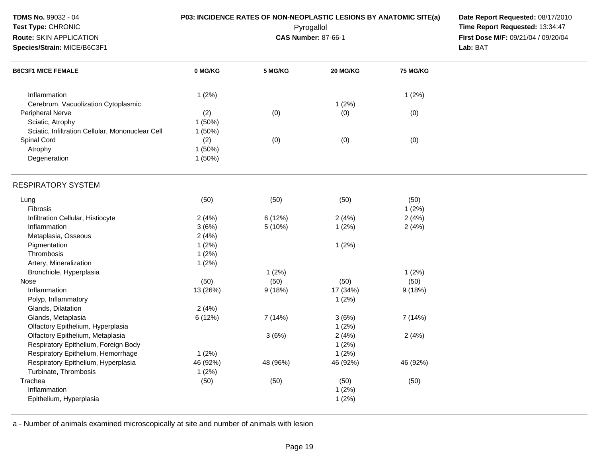| <b>TDMS No. 99032 - 04</b><br>Test Type: CHRONIC<br><b>Route: SKIN APPLICATION</b><br>Species/Strain: MICE/B6C3F1 |          | P03: INCIDENCE RATES OF NON-NEOPLASTIC LESIONS BY ANATOMIC SITE(a)<br>Pyrogallol<br><b>CAS Number: 87-66-1</b> | Date Report Requested: 08/17/2010<br>Time Report Requested: 13:34:47<br>First Dose M/F: 09/21/04 / 09/20/04<br>Lab: BAT |          |  |
|-------------------------------------------------------------------------------------------------------------------|----------|----------------------------------------------------------------------------------------------------------------|-------------------------------------------------------------------------------------------------------------------------|----------|--|
| <b>B6C3F1 MICE FEMALE</b>                                                                                         | 0 MG/KG  | 5 MG/KG                                                                                                        | 20 MG/KG                                                                                                                | 75 MG/KG |  |
| Inflammation                                                                                                      | 1(2%)    |                                                                                                                |                                                                                                                         | 1(2%)    |  |
| Cerebrum, Vacuolization Cytoplasmic                                                                               |          |                                                                                                                | 1(2%)                                                                                                                   |          |  |
| Peripheral Nerve                                                                                                  | (2)      | (0)                                                                                                            | (0)                                                                                                                     | (0)      |  |
| Sciatic, Atrophy                                                                                                  | 1 (50%)  |                                                                                                                |                                                                                                                         |          |  |
| Sciatic, Infiltration Cellular, Mononuclear Cell                                                                  | 1(50%)   |                                                                                                                |                                                                                                                         |          |  |
| Spinal Cord                                                                                                       | (2)      | (0)                                                                                                            | (0)                                                                                                                     | (0)      |  |
| Atrophy                                                                                                           | 1 (50%)  |                                                                                                                |                                                                                                                         |          |  |
| Degeneration                                                                                                      | 1(50%)   |                                                                                                                |                                                                                                                         |          |  |
| <b>RESPIRATORY SYSTEM</b>                                                                                         |          |                                                                                                                |                                                                                                                         |          |  |
| Lung                                                                                                              | (50)     | (50)                                                                                                           | (50)                                                                                                                    | (50)     |  |
| Fibrosis                                                                                                          |          |                                                                                                                |                                                                                                                         | 1(2%)    |  |
| Infiltration Cellular, Histiocyte                                                                                 | 2(4%)    | 6(12%)                                                                                                         | 2(4%)                                                                                                                   | 2(4%)    |  |
| Inflammation                                                                                                      | 3(6%)    | 5(10%)                                                                                                         | 1(2%)                                                                                                                   | 2(4%)    |  |
| Metaplasia, Osseous                                                                                               | 2(4%)    |                                                                                                                |                                                                                                                         |          |  |
| Pigmentation                                                                                                      | 1(2%)    |                                                                                                                | 1(2%)                                                                                                                   |          |  |
| Thrombosis                                                                                                        | 1(2%)    |                                                                                                                |                                                                                                                         |          |  |
| Artery, Mineralization                                                                                            | 1(2%)    |                                                                                                                |                                                                                                                         |          |  |
| Bronchiole, Hyperplasia                                                                                           |          | 1(2%)                                                                                                          |                                                                                                                         | 1(2%)    |  |
| Nose                                                                                                              | (50)     | (50)                                                                                                           | (50)                                                                                                                    | (50)     |  |
| Inflammation                                                                                                      | 13 (26%) | 9(18%)                                                                                                         | 17 (34%)                                                                                                                | 9(18%)   |  |
| Polyp, Inflammatory                                                                                               |          |                                                                                                                | 1(2%)                                                                                                                   |          |  |
| Glands, Dilatation                                                                                                | 2(4%)    |                                                                                                                |                                                                                                                         |          |  |
| Glands, Metaplasia                                                                                                | 6(12%)   | 7 (14%)                                                                                                        | 3(6%)                                                                                                                   | 7 (14%)  |  |
| Olfactory Epithelium, Hyperplasia                                                                                 |          |                                                                                                                | 1(2%)                                                                                                                   |          |  |
| Olfactory Epithelium, Metaplasia                                                                                  |          | 3(6%)                                                                                                          | 2(4%)                                                                                                                   | 2(4%)    |  |
| Respiratory Epithelium, Foreign Body                                                                              |          |                                                                                                                | 1(2%)                                                                                                                   |          |  |
| Respiratory Epithelium, Hemorrhage                                                                                | 1(2%)    |                                                                                                                | 1(2%)                                                                                                                   |          |  |
| Respiratory Epithelium, Hyperplasia                                                                               | 46 (92%) | 48 (96%)                                                                                                       | 46 (92%)                                                                                                                | 46 (92%) |  |
| Turbinate, Thrombosis                                                                                             | 1(2%)    |                                                                                                                |                                                                                                                         |          |  |
| Trachea                                                                                                           | (50)     | (50)                                                                                                           | (50)                                                                                                                    | (50)     |  |
| Inflammation                                                                                                      |          |                                                                                                                | 1(2%)                                                                                                                   |          |  |
| Epithelium, Hyperplasia                                                                                           |          |                                                                                                                | 1(2%)                                                                                                                   |          |  |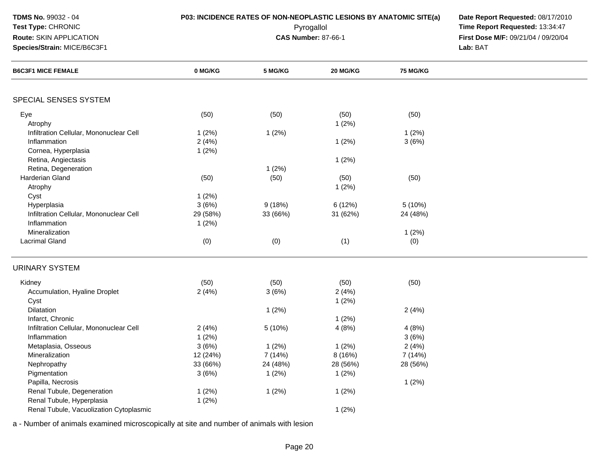| <b>TDMS No. 99032 - 04</b><br>Test Type: CHRONIC<br>Route: SKIN APPLICATION<br>Species/Strain: MICE/B6C3F1 | <b>P03: INCIDENCE RATES OF NON-NEOPLASTIC LESIONS BY ANATOMIC SITE(a)</b> | Date Report Requested: 08/17/2010<br>Time Report Requested: 13:34:47<br>First Dose M/F: 09/21/04 / 09/20/04<br>Lab: BAT |                              |                              |  |
|------------------------------------------------------------------------------------------------------------|---------------------------------------------------------------------------|-------------------------------------------------------------------------------------------------------------------------|------------------------------|------------------------------|--|
| <b>B6C3F1 MICE FEMALE</b>                                                                                  | 0 MG/KG                                                                   | 5 MG/KG                                                                                                                 | 20 MG/KG                     | <b>75 MG/KG</b>              |  |
| SPECIAL SENSES SYSTEM                                                                                      |                                                                           |                                                                                                                         |                              |                              |  |
| Eye<br>Atrophy                                                                                             | (50)                                                                      | (50)                                                                                                                    | (50)<br>1(2%)                | (50)                         |  |
| Infiltration Cellular, Mononuclear Cell<br>Inflammation<br>Cornea, Hyperplasia                             | 1(2%)<br>2(4%)<br>1(2%)                                                   | 1(2%)                                                                                                                   | 1(2%)                        | 1(2%)<br>3(6%)               |  |
| Retina, Angiectasis<br>Retina, Degeneration                                                                |                                                                           | 1(2%)                                                                                                                   | 1(2%)                        |                              |  |
| Harderian Gland<br>Atrophy<br>Cyst                                                                         | (50)<br>1(2%)                                                             | (50)                                                                                                                    | (50)<br>1(2%)                | (50)                         |  |
| Hyperplasia<br>Infiltration Cellular, Mononuclear Cell<br>Inflammation                                     | 3(6%)<br>29 (58%)<br>1(2%)                                                | 9(18%)<br>33 (66%)                                                                                                      | 6(12%)<br>31 (62%)           | 5(10%)<br>24 (48%)           |  |
| Mineralization<br><b>Lacrimal Gland</b>                                                                    | (0)                                                                       | (0)                                                                                                                     | (1)                          | 1(2%)<br>(0)                 |  |
| <b>URINARY SYSTEM</b>                                                                                      |                                                                           |                                                                                                                         |                              |                              |  |
| Kidney<br>Accumulation, Hyaline Droplet<br>Cyst                                                            | (50)<br>2(4%)                                                             | (50)<br>3(6%)                                                                                                           | (50)<br>2(4%)<br>1(2%)       | (50)                         |  |
| Dilatation<br>Infarct, Chronic                                                                             |                                                                           | 1(2%)                                                                                                                   | 1(2%)                        | 2(4%)                        |  |
| Infiltration Cellular, Mononuclear Cell<br>Inflammation                                                    | 2(4%)<br>1(2%)                                                            | 5 (10%)                                                                                                                 | 4(8%)                        | 4(8%)<br>3(6%)               |  |
| Metaplasia, Osseous<br>Mineralization<br>Nephropathy                                                       | 3(6%)<br>12 (24%)<br>33 (66%)                                             | 1(2%)<br>7(14%)<br>24 (48%)                                                                                             | 1(2%)<br>8 (16%)<br>28 (56%) | 2(4%)<br>7 (14%)<br>28 (56%) |  |
| Pigmentation<br>Papilla, Necrosis<br>Renal Tubule, Degeneration                                            | 3(6%)<br>1(2%)                                                            | 1(2%)<br>1(2%)                                                                                                          | 1(2%)<br>1(2%)               | 1(2%)                        |  |
| Renal Tubule, Hyperplasia<br>Renal Tubule, Vacuolization Cytoplasmic                                       | 1(2%)                                                                     |                                                                                                                         | 1(2%)                        |                              |  |